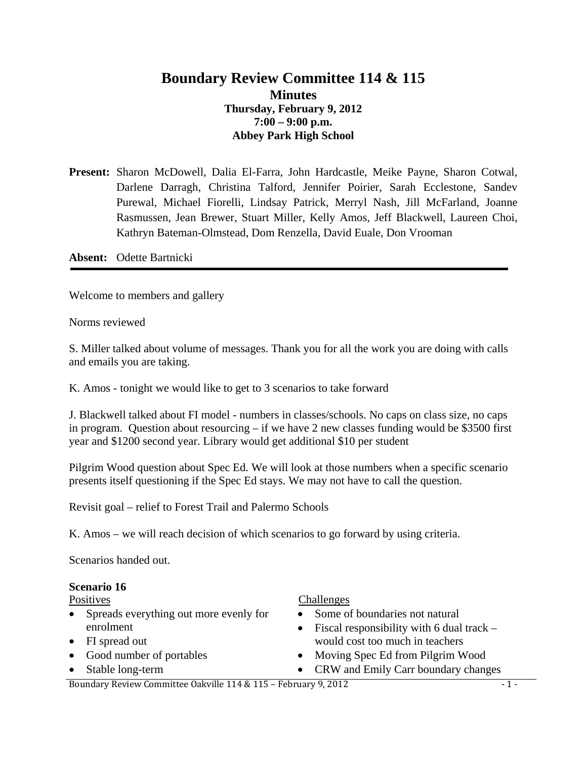## **Boundary Review Committee 114 & 115 Minutes Thursday, February 9, 2012 7:00 – 9:00 p.m. Abbey Park High School**

**Present:** Sharon McDowell, Dalia El-Farra, John Hardcastle, Meike Payne, Sharon Cotwal, Darlene Darragh, Christina Talford, Jennifer Poirier, Sarah Ecclestone, Sandev Purewal, Michael Fiorelli, Lindsay Patrick, Merryl Nash, Jill McFarland, Joanne Rasmussen, Jean Brewer, Stuart Miller, Kelly Amos, Jeff Blackwell, Laureen Choi, Kathryn Bateman-Olmstead, Dom Renzella, David Euale, Don Vrooman

**Absent:** Odette Bartnicki

Welcome to members and gallery

Norms reviewed

S. Miller talked about volume of messages. Thank you for all the work you are doing with calls and emails you are taking.

K. Amos - tonight we would like to get to 3 scenarios to take forward

J. Blackwell talked about FI model - numbers in classes/schools. No caps on class size, no caps in program. Question about resourcing – if we have 2 new classes funding would be \$3500 first year and \$1200 second year. Library would get additional \$10 per student

Pilgrim Wood question about Spec Ed. We will look at those numbers when a specific scenario presents itself questioning if the Spec Ed stays. We may not have to call the question.

Revisit goal – relief to Forest Trail and Palermo Schools

K. Amos – we will reach decision of which scenarios to go forward by using criteria.

Scenarios handed out.

#### **Scenario 16**

Positives

- Spreads everything out more evenly for enrolment
- FI spread out
- Good number of portables
- Stable long-term

#### **Challenges**

- Some of boundaries not natural
- Fiscal responsibility with 6 dual track  $$ would cost too much in teachers
- Moving Spec Ed from Pilgrim Wood
- CRW and Emily Carr boundary changes

Boundary Review Committee Oakville 114 & 115 – February 9, 2012 - 1 -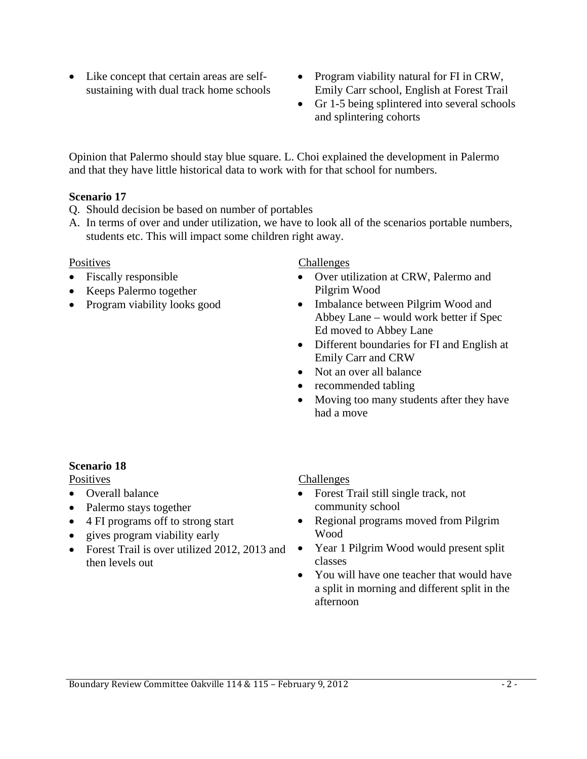- Like concept that certain areas are selfsustaining with dual track home schools
- Program viability natural for FI in CRW, Emily Carr school, English at Forest Trail
- Gr 1-5 being splintered into several schools and splintering cohorts

Opinion that Palermo should stay blue square. L. Choi explained the development in Palermo and that they have little historical data to work with for that school for numbers.

## **Scenario 17**

- Q. Should decision be based on number of portables
- A. In terms of over and under utilization, we have to look all of the scenarios portable numbers, students etc. This will impact some children right away.

## Positives

- Fiscally responsible
- Keeps Palermo together
- Program viability looks good

**Challenges** 

- Over utilization at CRW, Palermo and Pilgrim Wood
- Imbalance between Pilgrim Wood and Abbey Lane – would work better if Spec Ed moved to Abbey Lane
- Different boundaries for FI and English at Emily Carr and CRW
- Not an over all balance
- recommended tabling
- Moving too many students after they have had a move

# **Scenario 18**

**Positives** 

- Overall balance
- Palermo stays together
- 4 FI programs off to strong start
- gives program viability early
- Forest Trail is over utilized 2012, 2013 and then levels out

## **Challenges**

- Forest Trail still single track, not community school
- Regional programs moved from Pilgrim Wood
- Year 1 Pilgrim Wood would present split classes
- You will have one teacher that would have a split in morning and different split in the afternoon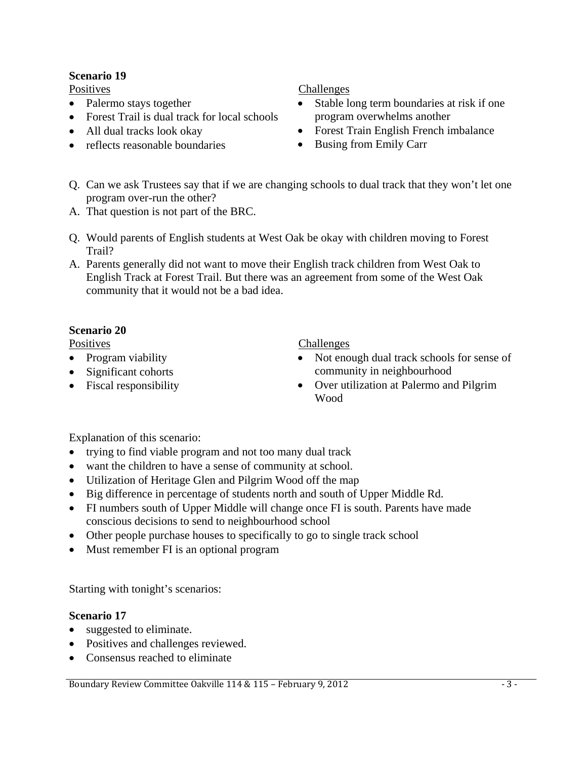## **Scenario 19**

Positives

- Palermo stays together
- Forest Trail is dual track for local schools
- All dual tracks look okay
- reflects reasonable boundaries

### Challenges

- Stable long term boundaries at risk if one program overwhelms another
- Forest Train English French imbalance
- Busing from Emily Carr
- Q. Can we ask Trustees say that if we are changing schools to dual track that they won't let one program over-run the other?
- A. That question is not part of the BRC.
- Q. Would parents of English students at West Oak be okay with children moving to Forest Trail?
- A. Parents generally did not want to move their English track children from West Oak to English Track at Forest Trail. But there was an agreement from some of the West Oak community that it would not be a bad idea.

## **Scenario 20**

Positives

- Program viability
- Significant cohorts
- Fiscal responsibility

Challenges

- Not enough dual track schools for sense of community in neighbourhood
- Over utilization at Palermo and Pilgrim Wood

Explanation of this scenario:

- trying to find viable program and not too many dual track
- want the children to have a sense of community at school.
- Utilization of Heritage Glen and Pilgrim Wood off the map
- Big difference in percentage of students north and south of Upper Middle Rd.
- FI numbers south of Upper Middle will change once FI is south. Parents have made conscious decisions to send to neighbourhood school
- Other people purchase houses to specifically to go to single track school
- Must remember FI is an optional program

Starting with tonight's scenarios:

## **Scenario 17**

- suggested to eliminate.
- Positives and challenges reviewed.
- Consensus reached to eliminate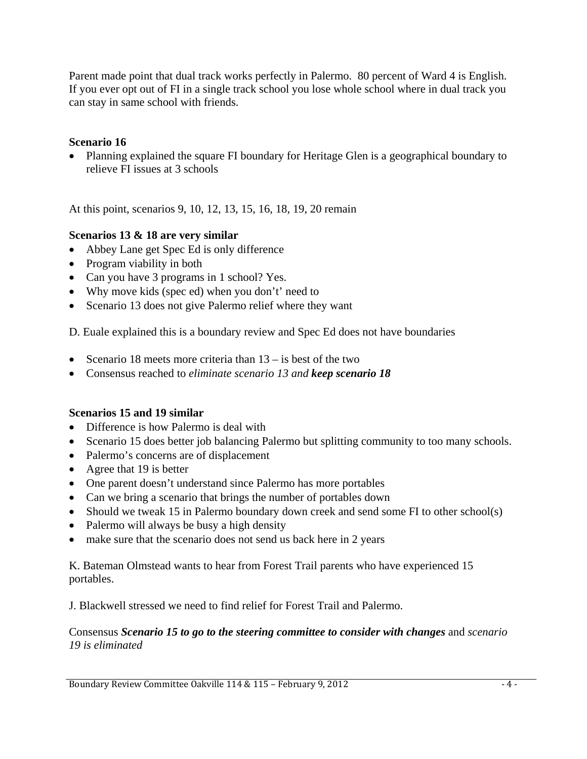Parent made point that dual track works perfectly in Palermo. 80 percent of Ward 4 is English. If you ever opt out of FI in a single track school you lose whole school where in dual track you can stay in same school with friends.

## **Scenario 16**

• Planning explained the square FI boundary for Heritage Glen is a geographical boundary to relieve FI issues at 3 schools

At this point, scenarios 9, 10, 12, 13, 15, 16, 18, 19, 20 remain

## **Scenarios 13 & 18 are very similar**

- Abbey Lane get Spec Ed is only difference
- Program viability in both
- Can you have 3 programs in 1 school? Yes.
- Why move kids (spec ed) when you don't' need to
- Scenario 13 does not give Palermo relief where they want

D. Euale explained this is a boundary review and Spec Ed does not have boundaries

- Scenario 18 meets more criteria than  $13 -$  is best of the two
- Consensus reached to *eliminate scenario 13 and keep scenario 18*

## **Scenarios 15 and 19 similar**

- Difference is how Palermo is deal with
- Scenario 15 does better job balancing Palermo but splitting community to too many schools.
- Palermo's concerns are of displacement
- Agree that 19 is better
- One parent doesn't understand since Palermo has more portables
- Can we bring a scenario that brings the number of portables down
- Should we tweak 15 in Palermo boundary down creek and send some FI to other school(s)
- Palermo will always be busy a high density
- make sure that the scenario does not send us back here in 2 years

K. Bateman Olmstead wants to hear from Forest Trail parents who have experienced 15 portables.

J. Blackwell stressed we need to find relief for Forest Trail and Palermo.

### Consensus *Scenario 15 to go to the steering committee to consider with changes* and *scenario 19 is eliminated*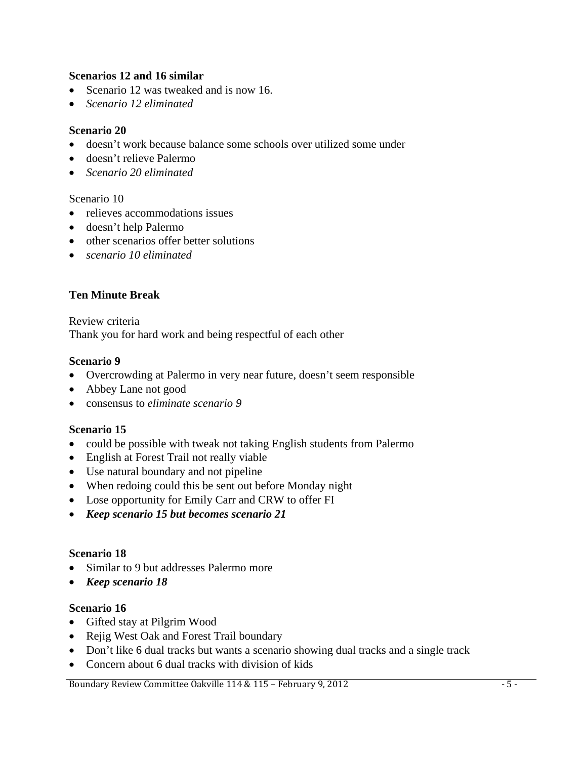### **Scenarios 12 and 16 similar**

- Scenario 12 was tweaked and is now 16.
- *Scenario 12 eliminated*

#### **Scenario 20**

- doesn't work because balance some schools over utilized some under
- doesn't relieve Palermo
- *Scenario 20 eliminated*

### Scenario 10

- relieves accommodations issues
- doesn't help Palermo
- other scenarios offer better solutions
- *scenario 10 eliminated*

## **Ten Minute Break**

Review criteria Thank you for hard work and being respectful of each other

### **Scenario 9**

- Overcrowding at Palermo in very near future, doesn't seem responsible
- Abbey Lane not good
- consensus to *eliminate scenario 9*

#### **Scenario 15**

- could be possible with tweak not taking English students from Palermo
- English at Forest Trail not really viable
- Use natural boundary and not pipeline
- When redoing could this be sent out before Monday night
- Lose opportunity for Emily Carr and CRW to offer FI
- *Keep scenario 15 but becomes scenario 21*

#### **Scenario 18**

- Similar to 9 but addresses Palermo more
- *Keep scenario 18*

#### **Scenario 16**

- Gifted stay at Pilgrim Wood
- Rejig West Oak and Forest Trail boundary
- Don't like 6 dual tracks but wants a scenario showing dual tracks and a single track
- Concern about 6 dual tracks with division of kids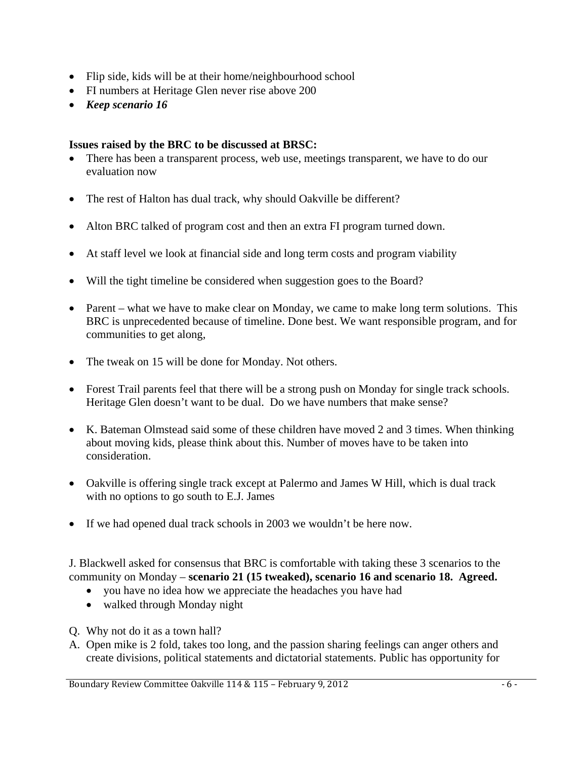- Flip side, kids will be at their home/neighbourhood school
- FI numbers at Heritage Glen never rise above 200
- *Keep scenario 16*

## **Issues raised by the BRC to be discussed at BRSC:**

- There has been a transparent process, web use, meetings transparent, we have to do our evaluation now
- The rest of Halton has dual track, why should Oakville be different?
- Alton BRC talked of program cost and then an extra FI program turned down.
- At staff level we look at financial side and long term costs and program viability
- Will the tight timeline be considered when suggestion goes to the Board?
- Parent what we have to make clear on Monday, we came to make long term solutions. This BRC is unprecedented because of timeline. Done best. We want responsible program, and for communities to get along,
- The tweak on 15 will be done for Monday. Not others.
- Forest Trail parents feel that there will be a strong push on Monday for single track schools. Heritage Glen doesn't want to be dual. Do we have numbers that make sense?
- K. Bateman Olmstead said some of these children have moved 2 and 3 times. When thinking about moving kids, please think about this. Number of moves have to be taken into consideration.
- Oakville is offering single track except at Palermo and James W Hill, which is dual track with no options to go south to E.J. James
- If we had opened dual track schools in 2003 we wouldn't be here now.

J. Blackwell asked for consensus that BRC is comfortable with taking these 3 scenarios to the community on Monday – **scenario 21 (15 tweaked), scenario 16 and scenario 18. Agreed.**

- you have no idea how we appreciate the headaches you have had
- walked through Monday night
- Q. Why not do it as a town hall?
- A. Open mike is 2 fold, takes too long, and the passion sharing feelings can anger others and create divisions, political statements and dictatorial statements. Public has opportunity for